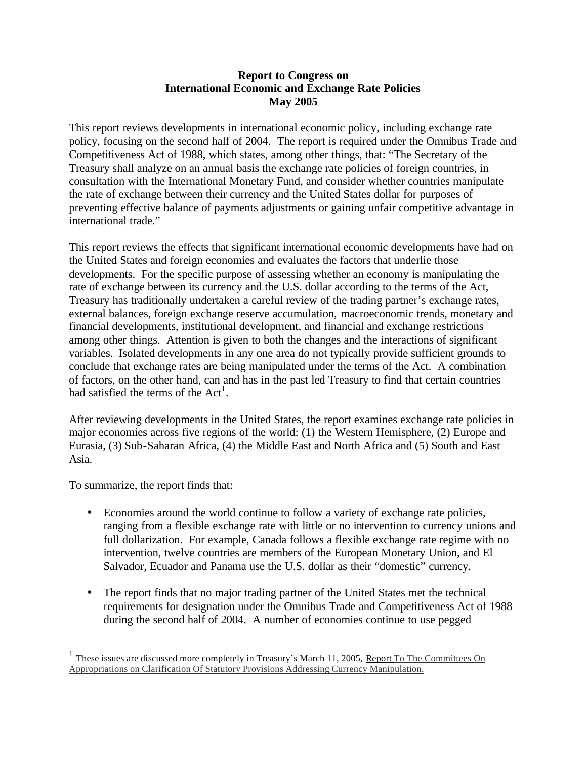#### **Report to Congress on International Economic and Exchange Rate Policies May 2005**

This report reviews developments in international economic policy, including exchange rate policy, focusing on the second half of 2004. The report is required under the Omnibus Trade and Competitiveness Act of 1988, which states, among other things, that: "The Secretary of the Treasury shall analyze on an annual basis the exchange rate policies of foreign countries, in consultation with the International Monetary Fund, and consider whether countries manipulate the rate of exchange between their currency and the United States dollar for purposes of preventing effective balance of payments adjustments or gaining unfair competitive advantage in international trade."

This report reviews the effects that significant international economic developments have had on the United States and foreign economies and evaluates the factors that underlie those developments. For the specific purpose of assessing whether an economy is manipulating the rate of exchange between its currency and the U.S. dollar according to the terms of the Act, Treasury has traditionally undertaken a careful review of the trading partner's exchange rates, external balances, foreign exchange reserve accumulation, macroeconomic trends, monetary and financial developments, institutional development, and financial and exchange restrictions among other things. Attention is given to both the changes and the interactions of significant variables. Isolated developments in any one area do not typically provide sufficient grounds to conclude that exchange rates are being manipulated under the terms of the Act. A combination of factors, on the other hand, can and has in the past led Treasury to find that certain countries had satisfied the terms of the  $Act<sup>1</sup>$ .

After reviewing developments in the United States, the report examines exchange rate policies in major economies across five regions of the world: (1) the Western Hemisphere, (2) Europe and Eurasia, (3) Sub-Saharan Africa, (4) the Middle East and North Africa and (5) South and East Asia.

To summarize, the report finds that:

- Economies around the world continue to follow a variety of exchange rate policies, ranging from a flexible exchange rate with little or no intervention to currency unions and full dollarization. For example, Canada follows a flexible exchange rate regime with no intervention, twelve countries are members of the European Monetary Union, and El Salvador, Ecuador and Panama use the U.S. dollar as their "domestic" currency.
- The report finds that no major trading partner of the United States met the technical requirements for designation under the Omnibus Trade and Competitiveness Act of 1988 during the second half of 2004. A number of economies continue to use pegged

<sup>&</sup>lt;sup>1</sup> These issues are discussed more completely in Treasury's March 11, 2005, Report To The Committees On Appropriations on Clarification Of Statutory Provisions Addressing Currency Manipulation.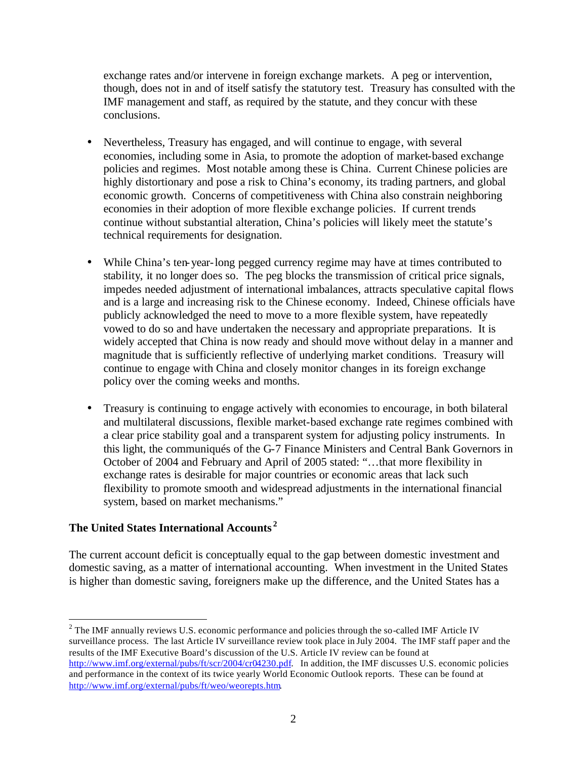exchange rates and/or intervene in foreign exchange markets. A peg or intervention, though, does not in and of itself satisfy the statutory test. Treasury has consulted with the IMF management and staff, as required by the statute, and they concur with these conclusions.

- Nevertheless, Treasury has engaged, and will continue to engage, with several economies, including some in Asia, to promote the adoption of market-based exchange policies and regimes. Most notable among these is China. Current Chinese policies are highly distortionary and pose a risk to China's economy, its trading partners, and global economic growth. Concerns of competitiveness with China also constrain neighboring economies in their adoption of more flexible exchange policies. If current trends continue without substantial alteration, China's policies will likely meet the statute's technical requirements for designation.
- While China's ten-year-long pegged currency regime may have at times contributed to stability, it no longer does so. The peg blocks the transmission of critical price signals, impedes needed adjustment of international imbalances, attracts speculative capital flows and is a large and increasing risk to the Chinese economy. Indeed, Chinese officials have publicly acknowledged the need to move to a more flexible system, have repeatedly vowed to do so and have undertaken the necessary and appropriate preparations. It is widely accepted that China is now ready and should move without delay in a manner and magnitude that is sufficiently reflective of underlying market conditions. Treasury will continue to engage with China and closely monitor changes in its foreign exchange policy over the coming weeks and months.
- Treasury is continuing to engage actively with economies to encourage, in both bilateral and multilateral discussions, flexible market-based exchange rate regimes combined with a clear price stability goal and a transparent system for adjusting policy instruments. In this light, the communiqués of the G-7 Finance Ministers and Central Bank Governors in October of 2004 and February and April of 2005 stated: "…that more flexibility in exchange rates is desirable for major countries or economic areas that lack such flexibility to promote smooth and widespread adjustments in the international financial system, based on market mechanisms."

# **The United States International Accounts <sup>2</sup>**

 $\overline{a}$ 

The current account deficit is conceptually equal to the gap between domestic investment and domestic saving, as a matter of international accounting. When investment in the United States is higher than domestic saving, foreigners make up the difference, and the United States has a

 $2^2$  The IMF annually reviews U.S. economic performance and policies through the so-called IMF Article IV surveillance process. The last Article IV surveillance review took place in July 2004. The IMF staff paper and the results of the IMF Executive Board's discussion of the U.S. Article IV review can be found at http://www.imf.org/external/pubs/ft/scr/2004/cr04230.pdf. In addition, the IMF discusses U.S. economic policies and performance in the context of its twice yearly World Economic Outlook reports. These can be found at http://www.imf.org/external/pubs/ft/weo/weorepts.htm.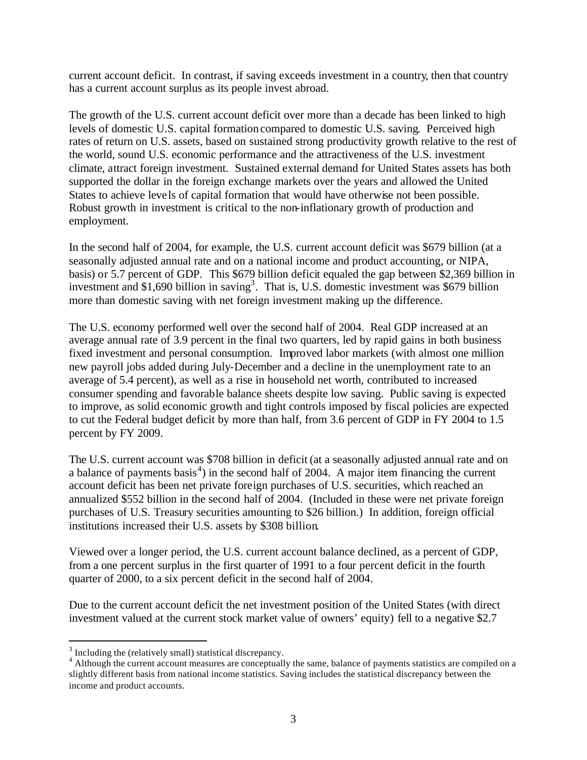current account deficit. In contrast, if saving exceeds investment in a country, then that country has a current account surplus as its people invest abroad.

The growth of the U.S. current account deficit over more than a decade has been linked to high levels of domestic U.S. capital formation compared to domestic U.S. saving. Perceived high rates of return on U.S. assets, based on sustained strong productivity growth relative to the rest of the world, sound U.S. economic performance and the attractiveness of the U.S. investment climate, attract foreign investment. Sustained external demand for United States assets has both supported the dollar in the foreign exchange markets over the years and allowed the United States to achieve leve ls of capital formation that would have otherwise not been possible. Robust growth in investment is critical to the non-inflationary growth of production and employment.

In the second half of 2004, for example, the U.S. current account deficit was \$679 billion (at a seasonally adjusted annual rate and on a national income and product accounting, or NIPA, basis) or 5.7 percent of GDP. This \$679 billion deficit equaled the gap between \$2,369 billion in investment and \$1,690 billion in saving<sup>3</sup>. That is, U.S. domestic investment was \$679 billion more than domestic saving with net foreign investment making up the difference.

The U.S. economy performed well over the second half of 2004. Real GDP increased at an average annual rate of 3.9 percent in the final two quarters, led by rapid gains in both business fixed investment and personal consumption. Improved labor markets (with almost one million new payroll jobs added during July-December and a decline in the unemployment rate to an average of 5.4 percent), as well as a rise in household net worth, contributed to increased consumer spending and favorable balance sheets despite low saving. Public saving is expected to improve, as solid economic growth and tight controls imposed by fiscal policies are expected to cut the Federal budget deficit by more than half, from 3.6 percent of GDP in FY 2004 to 1.5 percent by FY 2009.

The U.S. current account was \$708 billion in deficit (at a seasonally adjusted annual rate and on a balance of payments basis<sup>4</sup>) in the second half of 2004. A major item financing the current account deficit has been net private foreign purchases of U.S. securities, which reached an annualized \$552 billion in the second half of 2004. (Included in these were net private foreign purchases of U.S. Treasury securities amounting to \$26 billion.) In addition, foreign official institutions increased their U.S. assets by \$308 billion.

Viewed over a longer period, the U.S. current account balance declined, as a percent of GDP, from a one percent surplus in the first quarter of 1991 to a four percent deficit in the fourth quarter of 2000, to a six percent deficit in the second half of 2004.

Due to the current account deficit the net investment position of the United States (with direct investment valued at the current stock market value of owners' equity) fell to a negative \$2.7

<sup>&</sup>lt;sup>3</sup> Including the (relatively small) statistical discrepancy.

<sup>&</sup>lt;sup>4</sup> Although the current account measures are conceptually the same, balance of payments statistics are compiled on a slightly different basis from national income statistics. Saving includes the statistical discrepancy between the income and product accounts.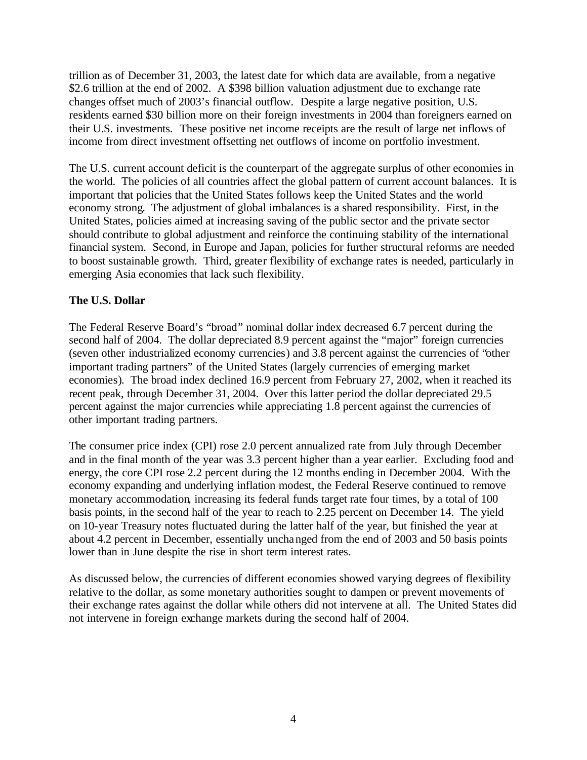trillion as of December 31, 2003, the latest date for which data are available, from a negative \$2.6 trillion at the end of 2002. A \$398 billion valuation adjustment due to exchange rate changes offset much of 2003's financial outflow. Despite a large negative position, U.S. residents earned \$30 billion more on their foreign investments in 2004 than foreigners earned on their U.S. investments. These positive net income receipts are the result of large net inflows of income from direct investment offsetting net outflows of income on portfolio investment.

The U.S. current account deficit is the counterpart of the aggregate surplus of other economies in the world. The policies of all countries affect the global pattern of current account balances. It is important that policies that the United States follows keep the United States and the world economy strong. The adjustment of global imbalances is a shared responsibility. First, in the United States, policies aimed at increasing saving of the public sector and the private sector should contribute to global adjustment and reinforce the continuing stability of the international financial system. Second, in Europe and Japan, policies for further structural reforms are needed to boost sustainable growth. Third, greater flexibility of exchange rates is needed, particularly in emerging Asia economies that lack such flexibility.

# **The U.S. Dollar**

The Federal Reserve Board's "broad" nominal dollar index decreased 6.7 percent during the second half of 2004. The dollar depreciated 8.9 percent against the "major" foreign currencies (seven other industrialized economy currencies) and 3.8 percent against the currencies of "other important trading partners" of the United States (largely currencies of emerging market economies). The broad index declined 16.9 percent from February 27, 2002, when it reached its recent peak, through December 31, 2004. Over this latter period the dollar depreciated 29.5 percent against the major currencies while appreciating 1.8 percent against the currencies of other important trading partners.

The consumer price index (CPI) rose 2.0 percent annualized rate from July through December and in the final month of the year was 3.3 percent higher than a year earlier. Excluding food and energy, the core CPI rose 2.2 percent during the 12 months ending in December 2004. With the economy expanding and underlying inflation modest, the Federal Reserve continued to remove monetary accommodation, increasing its federal funds target rate four times, by a total of 100 basis points, in the second half of the year to reach to 2.25 percent on December 14. The yield on 10-year Treasury notes fluctuated during the latter half of the year, but finished the year at about 4.2 percent in December, essentially unchanged from the end of 2003 and 50 basis points lower than in June despite the rise in short term interest rates.

As discussed below, the currencies of different economies showed varying degrees of flexibility relative to the dollar, as some monetary authorities sought to dampen or prevent movements of their exchange rates against the dollar while others did not intervene at all. The United States did not intervene in foreign exchange markets during the second half of 2004.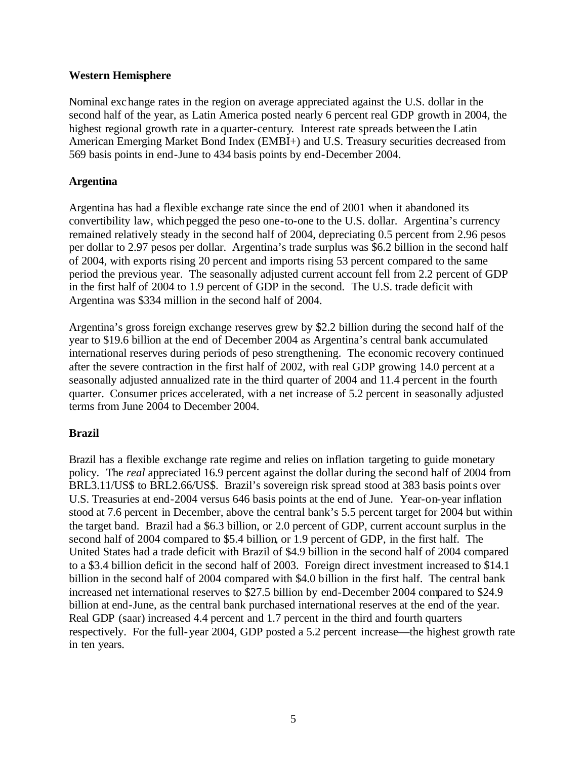#### **Western Hemisphere**

Nominal exchange rates in the region on average appreciated against the U.S. dollar in the second half of the year, as Latin America posted nearly 6 percent real GDP growth in 2004, the highest regional growth rate in a quarter-century. Interest rate spreads between the Latin American Emerging Market Bond Index (EMBI+) and U.S. Treasury securities decreased from 569 basis points in end-June to 434 basis points by end-December 2004.

### **Argentina**

Argentina has had a flexible exchange rate since the end of 2001 when it abandoned its convertibility law, which pegged the peso one-to-one to the U.S. dollar. Argentina's currency remained relatively steady in the second half of 2004, depreciating 0.5 percent from 2.96 pesos per dollar to 2.97 pesos per dollar. Argentina's trade surplus was \$6.2 billion in the second half of 2004, with exports rising 20 percent and imports rising 53 percent compared to the same period the previous year. The seasonally adjusted current account fell from 2.2 percent of GDP in the first half of 2004 to 1.9 percent of GDP in the second. The U.S. trade deficit with Argentina was \$334 million in the second half of 2004.

Argentina's gross foreign exchange reserves grew by \$2.2 billion during the second half of the year to \$19.6 billion at the end of December 2004 as Argentina's central bank accumulated international reserves during periods of peso strengthening. The economic recovery continued after the severe contraction in the first half of 2002, with real GDP growing 14.0 percent at a seasonally adjusted annualized rate in the third quarter of 2004 and 11.4 percent in the fourth quarter. Consumer prices accelerated, with a net increase of 5.2 percent in seasonally adjusted terms from June 2004 to December 2004.

# **Brazil**

Brazil has a flexible exchange rate regime and relies on inflation targeting to guide monetary policy. The *real* appreciated 16.9 percent against the dollar during the second half of 2004 from BRL3.11/US\$ to BRL2.66/US\$. Brazil's sovereign risk spread stood at 383 basis points over U.S. Treasuries at end-2004 versus 646 basis points at the end of June. Year-on-year inflation stood at 7.6 percent in December, above the central bank's 5.5 percent target for 2004 but within the target band. Brazil had a \$6.3 billion, or 2.0 percent of GDP, current account surplus in the second half of 2004 compared to \$5.4 billion, or 1.9 percent of GDP, in the first half. The United States had a trade deficit with Brazil of \$4.9 billion in the second half of 2004 compared to a \$3.4 billion deficit in the second half of 2003. Foreign direct investment increased to \$14.1 billion in the second half of 2004 compared with \$4.0 billion in the first half. The central bank increased net international reserves to \$27.5 billion by end-December 2004 compared to \$24.9 billion at end-June, as the central bank purchased international reserves at the end of the year. Real GDP (saar) increased 4.4 percent and 1.7 percent in the third and fourth quarters respectively. For the full-year 2004, GDP posted a 5.2 percent increase—the highest growth rate in ten years.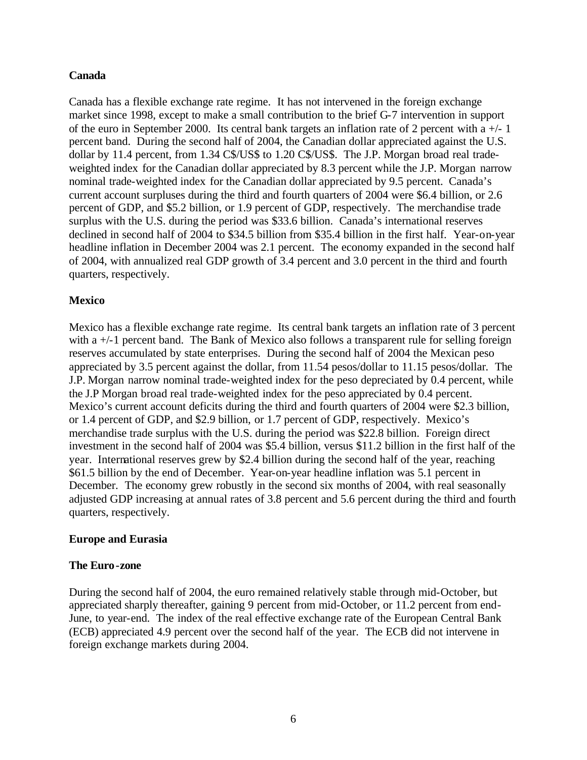#### **Canada**

Canada has a flexible exchange rate regime. It has not intervened in the foreign exchange market since 1998, except to make a small contribution to the brief G-7 intervention in support of the euro in September 2000. Its central bank targets an inflation rate of 2 percent with a  $+/-1$ percent band. During the second half of 2004, the Canadian dollar appreciated against the U.S. dollar by 11.4 percent, from 1.34 C\$/US\$ to 1.20 C\$/US\$. The J.P. Morgan broad real tradeweighted index for the Canadian dollar appreciated by 8.3 percent while the J.P. Morgan narrow nominal trade-weighted index for the Canadian dollar appreciated by 9.5 percent. Canada's current account surpluses during the third and fourth quarters of 2004 were \$6.4 billion, or 2.6 percent of GDP, and \$5.2 billion, or 1.9 percent of GDP, respectively. The merchandise trade surplus with the U.S. during the period was \$33.6 billion. Canada's international reserves declined in second half of 2004 to \$34.5 billion from \$35.4 billion in the first half. Year-on-year headline inflation in December 2004 was 2.1 percent. The economy expanded in the second half of 2004, with annualized real GDP growth of 3.4 percent and 3.0 percent in the third and fourth quarters, respectively.

### **Mexico**

Mexico has a flexible exchange rate regime. Its central bank targets an inflation rate of 3 percent with a  $+/-1$  percent band. The Bank of Mexico also follows a transparent rule for selling foreign reserves accumulated by state enterprises. During the second half of 2004 the Mexican peso appreciated by 3.5 percent against the dollar, from 11.54 pesos/dollar to 11.15 pesos/dollar*.* The J.P. Morgan narrow nominal trade-weighted index for the peso depreciated by 0.4 percent, while the J.P Morgan broad real trade-weighted index for the peso appreciated by 0.4 percent. Mexico's current account deficits during the third and fourth quarters of 2004 were \$2.3 billion, or 1.4 percent of GDP, and \$2.9 billion, or 1.7 percent of GDP, respectively. Mexico's merchandise trade surplus with the U.S. during the period was \$22.8 billion. Foreign direct investment in the second half of 2004 was \$5.4 billion, versus \$11.2 billion in the first half of the year. International reserves grew by \$2.4 billion during the second half of the year, reaching \$61.5 billion by the end of December. Year-on-year headline inflation was 5.1 percent in December. The economy grew robustly in the second six months of 2004, with real seasonally adjusted GDP increasing at annual rates of 3.8 percent and 5.6 percent during the third and fourth quarters, respectively.

#### **Europe and Eurasia**

#### **The Euro-zone**

During the second half of 2004, the euro remained relatively stable through mid-October, but appreciated sharply thereafter, gaining 9 percent from mid-October, or 11.2 percent from end-June, to year-end. The index of the real effective exchange rate of the European Central Bank (ECB) appreciated 4.9 percent over the second half of the year. The ECB did not intervene in foreign exchange markets during 2004.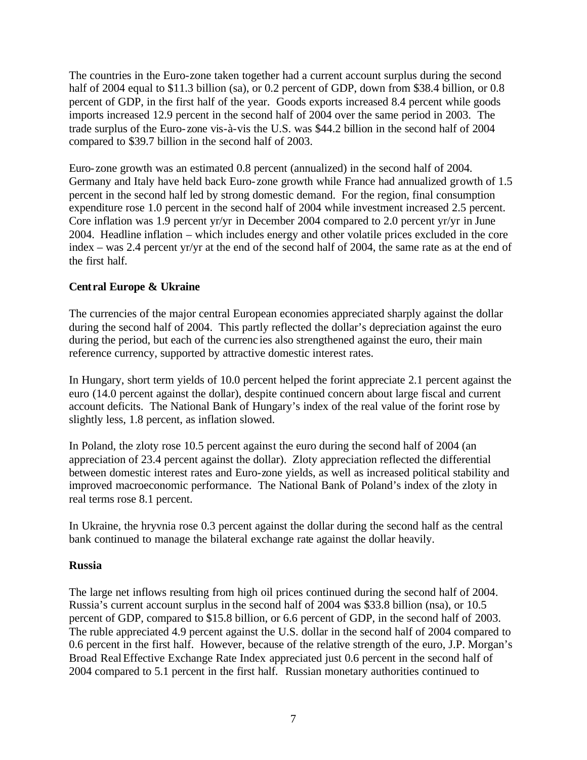The countries in the Euro-zone taken together had a current account surplus during the second half of 2004 equal to \$11.3 billion (sa), or 0.2 percent of GDP, down from \$38.4 billion, or 0.8 percent of GDP, in the first half of the year. Goods exports increased 8.4 percent while goods imports increased 12.9 percent in the second half of 2004 over the same period in 2003. The trade surplus of the Euro-zone vis-à-vis the U.S. was \$44.2 billion in the second half of 2004 compared to \$39.7 billion in the second half of 2003.

Euro-zone growth was an estimated 0.8 percent (annualized) in the second half of 2004. Germany and Italy have held back Euro-zone growth while France had annualized growth of 1.5 percent in the second half led by strong domestic demand. For the region, final consumption expenditure rose 1.0 percent in the second half of 2004 while investment increased 2.5 percent. Core inflation was 1.9 percent yr/yr in December 2004 compared to 2.0 percent yr/yr in June 2004. Headline inflation – which includes energy and other volatile prices excluded in the core index – was 2.4 percent yr/yr at the end of the second half of 2004, the same rate as at the end of the first half.

# **Central Europe & Ukraine**

The currencies of the major central European economies appreciated sharply against the dollar during the second half of 2004. This partly reflected the dollar's depreciation against the euro during the period, but each of the currenc ies also strengthened against the euro, their main reference currency, supported by attractive domestic interest rates.

In Hungary, short term yields of 10.0 percent helped the forint appreciate 2.1 percent against the euro (14.0 percent against the dollar), despite continued concern about large fiscal and current account deficits. The National Bank of Hungary's index of the real value of the forint rose by slightly less, 1.8 percent, as inflation slowed.

In Poland, the zloty rose 10.5 percent against the euro during the second half of 2004 (an appreciation of 23.4 percent against the dollar). Zloty appreciation reflected the differential between domestic interest rates and Euro-zone yields, as well as increased political stability and improved macroeconomic performance. The National Bank of Poland's index of the zloty in real terms rose 8.1 percent.

In Ukraine, the hryvnia rose 0.3 percent against the dollar during the second half as the central bank continued to manage the bilateral exchange rate against the dollar heavily.

# **Russia**

The large net inflows resulting from high oil prices continued during the second half of 2004. Russia's current account surplus in the second half of 2004 was \$33.8 billion (nsa), or 10.5 percent of GDP, compared to \$15.8 billion, or 6.6 percent of GDP, in the second half of 2003. The ruble appreciated 4.9 percent against the U.S. dollar in the second half of 2004 compared to 0.6 percent in the first half. However, because of the relative strength of the euro, J.P. Morgan's Broad Real Effective Exchange Rate Index appreciated just 0.6 percent in the second half of 2004 compared to 5.1 percent in the first half. Russian monetary authorities continued to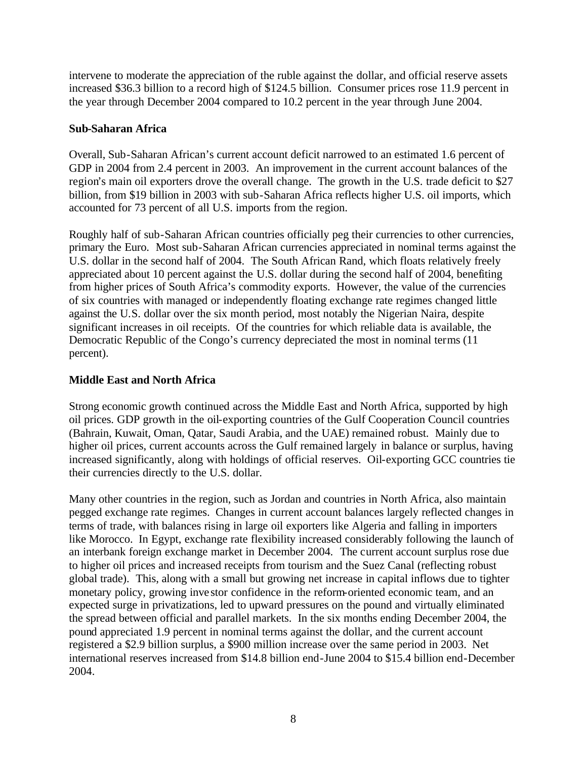intervene to moderate the appreciation of the ruble against the dollar, and official reserve assets increased \$36.3 billion to a record high of \$124.5 billion. Consumer prices rose 11.9 percent in the year through December 2004 compared to 10.2 percent in the year through June 2004.

### **Sub-Saharan Africa**

Overall, Sub-Saharan African's current account deficit narrowed to an estimated 1.6 percent of GDP in 2004 from 2.4 percent in 2003. An improvement in the current account balances of the region's main oil exporters drove the overall change. The growth in the U.S. trade deficit to \$27 billion, from \$19 billion in 2003 with sub-Saharan Africa reflects higher U.S. oil imports, which accounted for 73 percent of all U.S. imports from the region.

Roughly half of sub-Saharan African countries officially peg their currencies to other currencies, primary the Euro. Most sub-Saharan African currencies appreciated in nominal terms against the U.S. dollar in the second half of 2004. The South African Rand, which floats relatively freely appreciated about 10 percent against the U.S. dollar during the second half of 2004, benefiting from higher prices of South Africa's commodity exports. However, the value of the currencies of six countries with managed or independently floating exchange rate regimes changed little against the U.S. dollar over the six month period, most notably the Nigerian Naira, despite significant increases in oil receipts. Of the countries for which reliable data is available, the Democratic Republic of the Congo's currency depreciated the most in nominal terms (11 percent).

# **Middle East and North Africa**

Strong economic growth continued across the Middle East and North Africa, supported by high oil prices. GDP growth in the oil-exporting countries of the Gulf Cooperation Council countries (Bahrain, Kuwait, Oman, Qatar, Saudi Arabia, and the UAE) remained robust. Mainly due to higher oil prices, current accounts across the Gulf remained largely in balance or surplus, having increased significantly, along with holdings of official reserves. Oil-exporting GCC countries tie their currencies directly to the U.S. dollar.

Many other countries in the region, such as Jordan and countries in North Africa, also maintain pegged exchange rate regimes. Changes in current account balances largely reflected changes in terms of trade, with balances rising in large oil exporters like Algeria and falling in importers like Morocco. In Egypt, exchange rate flexibility increased considerably following the launch of an interbank foreign exchange market in December 2004. The current account surplus rose due to higher oil prices and increased receipts from tourism and the Suez Canal (reflecting robust global trade). This, along with a small but growing net increase in capital inflows due to tighter monetary policy, growing inve stor confidence in the reform-oriented economic team, and an expected surge in privatizations, led to upward pressures on the pound and virtually eliminated the spread between official and parallel markets. In the six months ending December 2004, the pound appreciated 1.9 percent in nominal terms against the dollar, and the current account registered a \$2.9 billion surplus, a \$900 million increase over the same period in 2003. Net international reserves increased from \$14.8 billion end-June 2004 to \$15.4 billion end-December 2004.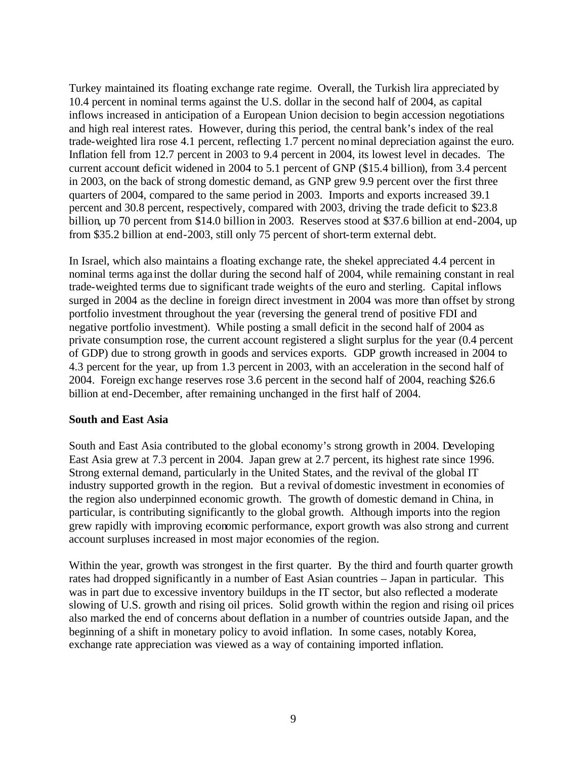Turkey maintained its floating exchange rate regime. Overall, the Turkish lira appreciated by 10.4 percent in nominal terms against the U.S. dollar in the second half of 2004, as capital inflows increased in anticipation of a European Union decision to begin accession negotiations and high real interest rates. However, during this period, the central bank's index of the real trade-weighted lira rose 4.1 percent, reflecting 1.7 percent nominal depreciation against the euro. Inflation fell from 12.7 percent in 2003 to 9.4 percent in 2004, its lowest level in decades. The current account deficit widened in 2004 to 5.1 percent of GNP (\$15.4 billion), from 3.4 percent in 2003, on the back of strong domestic demand, as GNP grew 9.9 percent over the first three quarters of 2004, compared to the same period in 2003. Imports and exports increased 39.1 percent and 30.8 percent, respectively, compared with 2003, driving the trade deficit to \$23.8 billion, up 70 percent from \$14.0 billion in 2003. Reserves stood at \$37.6 billion at end-2004, up from \$35.2 billion at end-2003, still only 75 percent of short-term external debt.

In Israel, which also maintains a floating exchange rate, the shekel appreciated 4.4 percent in nominal terms aga inst the dollar during the second half of 2004, while remaining constant in real trade-weighted terms due to significant trade weights of the euro and sterling. Capital inflows surged in 2004 as the decline in foreign direct investment in 2004 was more than offset by strong portfolio investment throughout the year (reversing the general trend of positive FDI and negative portfolio investment). While posting a small deficit in the second half of 2004 as private consumption rose, the current account registered a slight surplus for the year (0.4 percent of GDP) due to strong growth in goods and services exports. GDP growth increased in 2004 to 4.3 percent for the year, up from 1.3 percent in 2003, with an acceleration in the second half of 2004. Foreign exchange reserves rose 3.6 percent in the second half of 2004, reaching \$26.6 billion at end-December, after remaining unchanged in the first half of 2004.

#### **South and East Asia**

South and East Asia contributed to the global economy's strong growth in 2004. Developing East Asia grew at 7.3 percent in 2004. Japan grew at 2.7 percent, its highest rate since 1996. Strong external demand, particularly in the United States, and the revival of the global IT industry supported growth in the region. But a revival of domestic investment in economies of the region also underpinned economic growth. The growth of domestic demand in China, in particular, is contributing significantly to the global growth. Although imports into the region grew rapidly with improving economic performance, export growth was also strong and current account surpluses increased in most major economies of the region.

Within the year, growth was strongest in the first quarter. By the third and fourth quarter growth rates had dropped significantly in a number of East Asian countries – Japan in particular. This was in part due to excessive inventory buildups in the IT sector, but also reflected a moderate slowing of U.S. growth and rising oil prices. Solid growth within the region and rising oil prices also marked the end of concerns about deflation in a number of countries outside Japan, and the beginning of a shift in monetary policy to avoid inflation. In some cases, notably Korea, exchange rate appreciation was viewed as a way of containing imported inflation.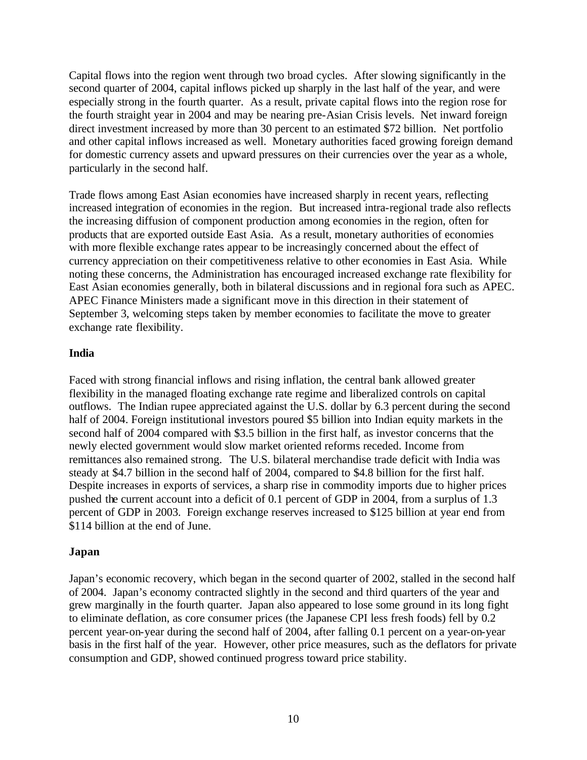Capital flows into the region went through two broad cycles. After slowing significantly in the second quarter of 2004, capital inflows picked up sharply in the last half of the year, and were especially strong in the fourth quarter. As a result, private capital flows into the region rose for the fourth straight year in 2004 and may be nearing pre-Asian Crisis levels. Net inward foreign direct investment increased by more than 30 percent to an estimated \$72 billion. Net portfolio and other capital inflows increased as well. Monetary authorities faced growing foreign demand for domestic currency assets and upward pressures on their currencies over the year as a whole, particularly in the second half.

Trade flows among East Asian economies have increased sharply in recent years, reflecting increased integration of economies in the region. But increased intra-regional trade also reflects the increasing diffusion of component production among economies in the region, often for products that are exported outside East Asia. As a result, monetary authorities of economies with more flexible exchange rates appear to be increasingly concerned about the effect of currency appreciation on their competitiveness relative to other economies in East Asia. While noting these concerns, the Administration has encouraged increased exchange rate flexibility for East Asian economies generally, both in bilateral discussions and in regional fora such as APEC. APEC Finance Ministers made a significant move in this direction in their statement of September 3, welcoming steps taken by member economies to facilitate the move to greater exchange rate flexibility.

#### **India**

Faced with strong financial inflows and rising inflation, the central bank allowed greater flexibility in the managed floating exchange rate regime and liberalized controls on capital outflows. The Indian rupee appreciated against the U.S. dollar by 6.3 percent during the second half of 2004. Foreign institutional investors poured \$5 billion into Indian equity markets in the second half of 2004 compared with \$3.5 billion in the first half, as investor concerns that the newly elected government would slow market oriented reforms receded. Income from remittances also remained strong. The U.S. bilateral merchandise trade deficit with India was steady at \$4.7 billion in the second half of 2004, compared to \$4.8 billion for the first half. Despite increases in exports of services, a sharp rise in commodity imports due to higher prices pushed the current account into a deficit of 0.1 percent of GDP in 2004, from a surplus of 1.3 percent of GDP in 2003. Foreign exchange reserves increased to \$125 billion at year end from \$114 billion at the end of June.

#### **Japan**

Japan's economic recovery, which began in the second quarter of 2002, stalled in the second half of 2004. Japan's economy contracted slightly in the second and third quarters of the year and grew marginally in the fourth quarter. Japan also appeared to lose some ground in its long fight to eliminate deflation, as core consumer prices (the Japanese CPI less fresh foods) fell by 0.2 percent year-on-year during the second half of 2004, after falling 0.1 percent on a year-on-year basis in the first half of the year. However, other price measures, such as the deflators for private consumption and GDP, showed continued progress toward price stability.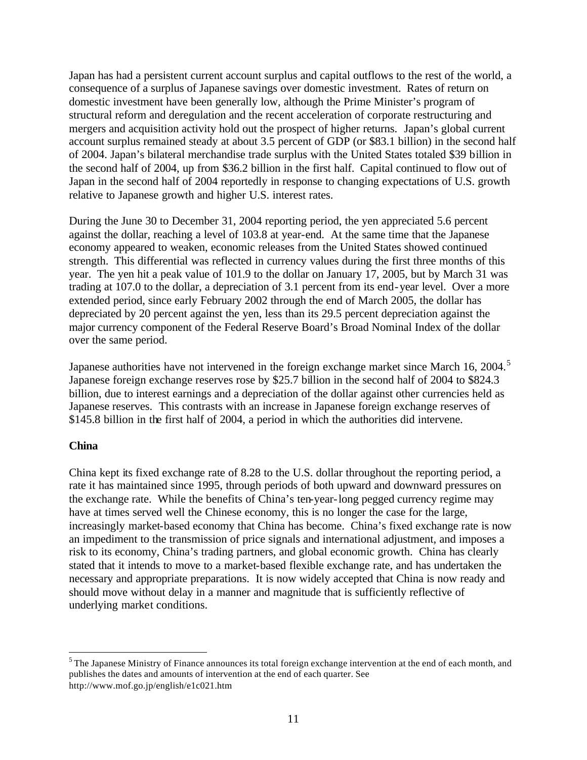Japan has had a persistent current account surplus and capital outflows to the rest of the world, a consequence of a surplus of Japanese savings over domestic investment. Rates of return on domestic investment have been generally low, although the Prime Minister's program of structural reform and deregulation and the recent acceleration of corporate restructuring and mergers and acquisition activity hold out the prospect of higher returns. Japan's global current account surplus remained steady at about 3.5 percent of GDP (or \$83.1 billion) in the second half of 2004. Japan's bilateral merchandise trade surplus with the United States totaled \$39 billion in the second half of 2004, up from \$36.2 billion in the first half. Capital continued to flow out of Japan in the second half of 2004 reportedly in response to changing expectations of U.S. growth relative to Japanese growth and higher U.S. interest rates.

During the June 30 to December 31, 2004 reporting period, the yen appreciated 5.6 percent against the dollar, reaching a level of 103.8 at year-end. At the same time that the Japanese economy appeared to weaken, economic releases from the United States showed continued strength. This differential was reflected in currency values during the first three months of this year. The yen hit a peak value of 101.9 to the dollar on January 17, 2005, but by March 31 was trading at 107.0 to the dollar, a depreciation of 3.1 percent from its end-year level. Over a more extended period, since early February 2002 through the end of March 2005, the dollar has depreciated by 20 percent against the yen, less than its 29.5 percent depreciation against the major currency component of the Federal Reserve Board's Broad Nominal Index of the dollar over the same period.

Japanese authorities have not intervened in the foreign exchange market since March 16, 2004.<sup>5</sup> Japanese foreign exchange reserves rose by \$25.7 billion in the second half of 2004 to \$824.3 billion, due to interest earnings and a depreciation of the dollar against other currencies held as Japanese reserves. This contrasts with an increase in Japanese foreign exchange reserves of \$145.8 billion in the first half of 2004, a period in which the authorities did intervene.

# **China**

 $\overline{a}$ 

China kept its fixed exchange rate of 8.28 to the U.S. dollar throughout the reporting period, a rate it has maintained since 1995, through periods of both upward and downward pressures on the exchange rate. While the benefits of China's ten-year-long pegged currency regime may have at times served well the Chinese economy, this is no longer the case for the large, increasingly market-based economy that China has become. China's fixed exchange rate is now an impediment to the transmission of price signals and international adjustment, and imposes a risk to its economy, China's trading partners, and global economic growth. China has clearly stated that it intends to move to a market-based flexible exchange rate, and has undertaken the necessary and appropriate preparations. It is now widely accepted that China is now ready and should move without delay in a manner and magnitude that is sufficiently reflective of underlying market conditions.

<sup>&</sup>lt;sup>5</sup> The Japanese Ministry of Finance announces its total foreign exchange intervention at the end of each month, and publishes the dates and amounts of intervention at the end of each quarter. See http://www.mof.go.jp/english/e1c021.htm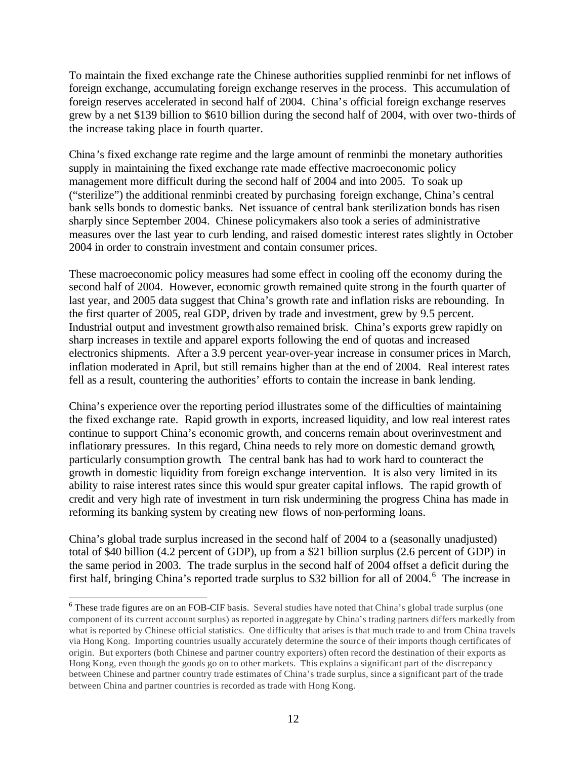To maintain the fixed exchange rate the Chinese authorities supplied renminbi for net inflows of foreign exchange, accumulating foreign exchange reserves in the process. This accumulation of foreign reserves accelerated in second half of 2004. China's official foreign exchange reserves grew by a net \$139 billion to \$610 billion during the second half of 2004, with over two-thirds of the increase taking place in fourth quarter.

China's fixed exchange rate regime and the large amount of renminbi the monetary authorities supply in maintaining the fixed exchange rate made effective macroeconomic policy management more difficult during the second half of 2004 and into 2005. To soak up ("sterilize") the additional renminbi created by purchasing foreign exchange, China's central bank sells bonds to domestic banks. Net issuance of central bank sterilization bonds has risen sharply since September 2004. Chinese policymakers also took a series of administrative measures over the last year to curb lending, and raised domestic interest rates slightly in October 2004 in order to constrain investment and contain consumer prices.

These macroeconomic policy measures had some effect in cooling off the economy during the second half of 2004. However, economic growth remained quite strong in the fourth quarter of last year, and 2005 data suggest that China's growth rate and inflation risks are rebounding. In the first quarter of 2005, real GDP, driven by trade and investment, grew by 9.5 percent. Industrial output and investment growth also remained brisk. China's exports grew rapidly on sharp increases in textile and apparel exports following the end of quotas and increased electronics shipments. After a 3.9 percent year-over-year increase in consumer prices in March, inflation moderated in April, but still remains higher than at the end of 2004. Real interest rates fell as a result, countering the authorities' efforts to contain the increase in bank lending.

China's experience over the reporting period illustrates some of the difficulties of maintaining the fixed exchange rate. Rapid growth in exports, increased liquidity, and low real interest rates continue to support China's economic growth, and concerns remain about overinvestment and inflationary pressures. In this regard, China needs to rely more on domestic demand growth, particularly consumption growth. The central bank has had to work hard to counteract the growth in domestic liquidity from foreign exchange intervention. It is also very limited in its ability to raise interest rates since this would spur greater capital inflows. The rapid growth of credit and very high rate of investment in turn risk undermining the progress China has made in reforming its banking system by creating new flows of non-performing loans.

China's global trade surplus increased in the second half of 2004 to a (seasonally unadjusted) total of \$40 billion (4.2 percent of GDP), up from a \$21 billion surplus (2.6 percent of GDP) in the same period in 2003. The trade surplus in the second half of 2004 offset a deficit during the first half, bringing China's reported trade surplus to \$32 billion for all of 2004.<sup>6</sup> The increase in

<sup>&</sup>lt;sup>6</sup> These trade figures are on an FOB-CIF basis. Several studies have noted that China's global trade surplus (one component of its current account surplus) as reported in aggregate by China's trading partners differs markedly from what is reported by Chinese official statistics. One difficulty that arises is that much trade to and from China travels via Hong Kong. Importing countries usually accurately determine the source of their imports though certificates of origin. But exporters (both Chinese and partner country exporters) often record the destination of their exports as Hong Kong, even though the goods go on to other markets. This explains a significant part of the discrepancy between Chinese and partner country trade estimates of China's trade surplus, since a significant part of the trade between China and partner countries is recorded as trade with Hong Kong.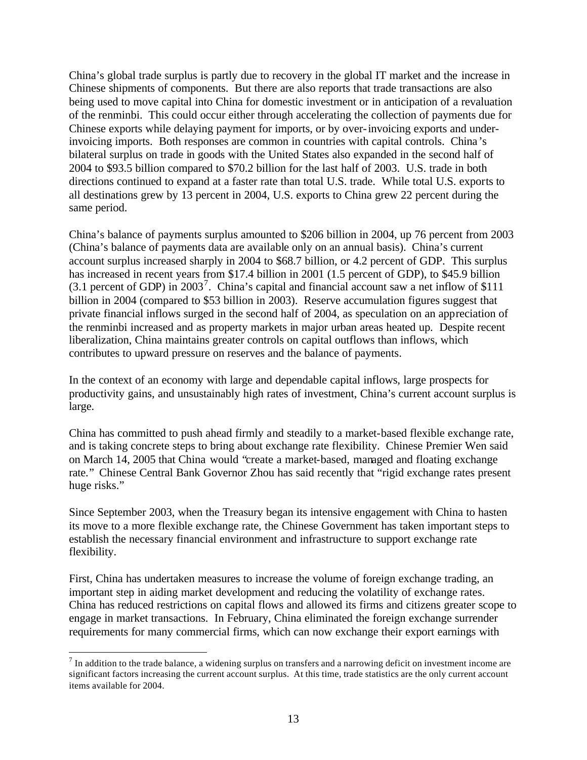China's global trade surplus is partly due to recovery in the global IT market and the increase in Chinese shipments of components. But there are also reports that trade transactions are also being used to move capital into China for domestic investment or in anticipation of a revaluation of the renminbi. This could occur either through accelerating the collection of payments due for Chinese exports while delaying payment for imports, or by over-invoicing exports and underinvoicing imports. Both responses are common in countries with capital controls. China's bilateral surplus on trade in goods with the United States also expanded in the second half of 2004 to \$93.5 billion compared to \$70.2 billion for the last half of 2003. U.S. trade in both directions continued to expand at a faster rate than total U.S. trade. While total U.S. exports to all destinations grew by 13 percent in 2004, U.S. exports to China grew 22 percent during the same period.

China's balance of payments surplus amounted to \$206 billion in 2004, up 76 percent from 2003 (China's balance of payments data are available only on an annual basis). China's current account surplus increased sharply in 2004 to \$68.7 billion, or 4.2 percent of GDP. This surplus has increased in recent years from \$17.4 billion in 2001 (1.5 percent of GDP), to \$45.9 billion  $(3.1)$  percent of GDP) in 2003<sup>7</sup>. China's capital and financial account saw a net inflow of \$111 billion in 2004 (compared to \$53 billion in 2003). Reserve accumulation figures suggest that private financial inflows surged in the second half of 2004, as speculation on an appreciation of the renminbi increased and as property markets in major urban areas heated up. Despite recent liberalization, China maintains greater controls on capital outflows than inflows, which contributes to upward pressure on reserves and the balance of payments.

In the context of an economy with large and dependable capital inflows, large prospects for productivity gains, and unsustainably high rates of investment, China's current account surplus is large.

China has committed to push ahead firmly and steadily to a market-based flexible exchange rate, and is taking concrete steps to bring about exchange rate flexibility. Chinese Premier Wen said on March 14, 2005 that China would "create a market-based, managed and floating exchange rate." Chinese Central Bank Governor Zhou has said recently that "rigid exchange rates present huge risks."

Since September 2003, when the Treasury began its intensive engagement with China to hasten its move to a more flexible exchange rate, the Chinese Government has taken important steps to establish the necessary financial environment and infrastructure to support exchange rate flexibility.

First, China has undertaken measures to increase the volume of foreign exchange trading, an important step in aiding market development and reducing the volatility of exchange rates. China has reduced restrictions on capital flows and allowed its firms and citizens greater scope to engage in market transactions. In February, China eliminated the foreign exchange surrender requirements for many commercial firms, which can now exchange their export earnings with

 $<sup>7</sup>$  In addition to the trade balance, a widening surplus on transfers and a narrowing deficit on investment income are</sup> significant factors increasing the current account surplus. At this time, trade statistics are the only current account items available for 2004.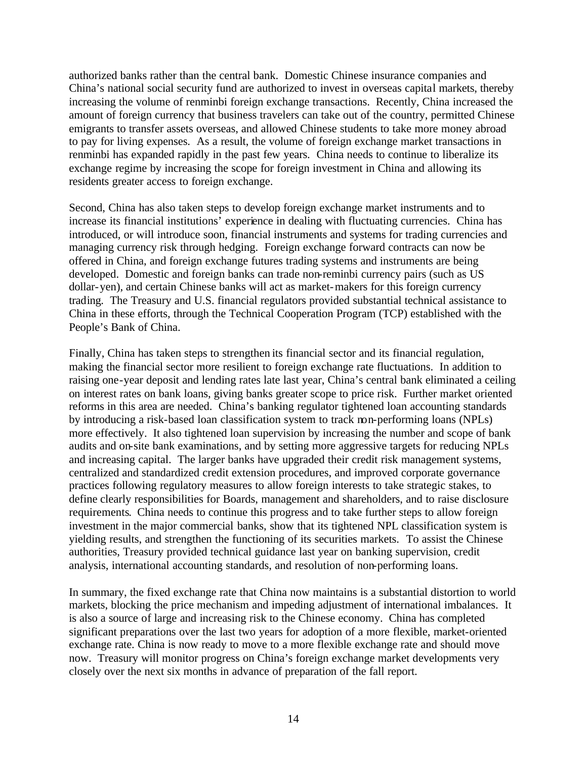authorized banks rather than the central bank. Domestic Chinese insurance companies and China's national social security fund are authorized to invest in overseas capital markets, thereby increasing the volume of renminbi foreign exchange transactions. Recently, China increased the amount of foreign currency that business travelers can take out of the country, permitted Chinese emigrants to transfer assets overseas, and allowed Chinese students to take more money abroad to pay for living expenses. As a result, the volume of foreign exchange market transactions in renminbi has expanded rapidly in the past few years. China needs to continue to liberalize its exchange regime by increasing the scope for foreign investment in China and allowing its residents greater access to foreign exchange.

Second, China has also taken steps to develop foreign exchange market instruments and to increase its financial institutions' experience in dealing with fluctuating currencies. China has introduced, or will introduce soon, financial instruments and systems for trading currencies and managing currency risk through hedging. Foreign exchange forward contracts can now be offered in China, and foreign exchange futures trading systems and instruments are being developed. Domestic and foreign banks can trade non-reminbi currency pairs (such as US dollar-yen), and certain Chinese banks will act as market-makers for this foreign currency trading. The Treasury and U.S. financial regulators provided substantial technical assistance to China in these efforts, through the Technical Cooperation Program (TCP) established with the People's Bank of China.

Finally, China has taken steps to strengthen its financial sector and its financial regulation, making the financial sector more resilient to foreign exchange rate fluctuations. In addition to raising one-year deposit and lending rates late last year, China's central bank eliminated a ceiling on interest rates on bank loans, giving banks greater scope to price risk. Further market oriented reforms in this area are needed. China's banking regulator tightened loan accounting standards by introducing a risk-based loan classification system to track non-performing loans (NPLs) more effectively. It also tightened loan supervision by increasing the number and scope of bank audits and on-site bank examinations, and by setting more aggressive targets for reducing NPLs and increasing capital. The larger banks have upgraded their credit risk management systems, centralized and standardized credit extension procedures, and improved corporate governance practices following regulatory measures to allow foreign interests to take strategic stakes, to define clearly responsibilities for Boards, management and shareholders, and to raise disclosure requirements. China needs to continue this progress and to take further steps to allow foreign investment in the major commercial banks, show that its tightened NPL classification system is yielding results, and strengthen the functioning of its securities markets. To assist the Chinese authorities, Treasury provided technical guidance last year on banking supervision, credit analysis, international accounting standards, and resolution of non-performing loans.

In summary, the fixed exchange rate that China now maintains is a substantial distortion to world markets, blocking the price mechanism and impeding adjustment of international imbalances. It is also a source of large and increasing risk to the Chinese economy. China has completed significant preparations over the last two years for adoption of a more flexible, market-oriented exchange rate. China is now ready to move to a more flexible exchange rate and should move now. Treasury will monitor progress on China's foreign exchange market developments very closely over the next six months in advance of preparation of the fall report.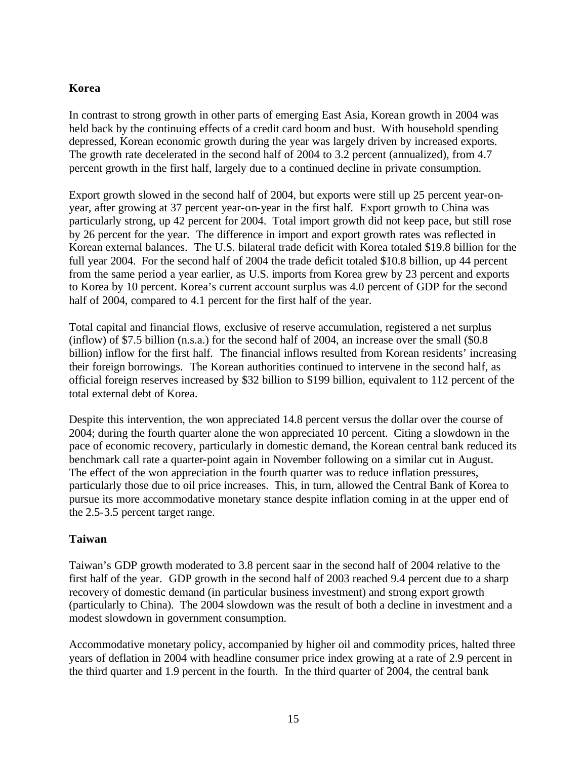# **Korea**

In contrast to strong growth in other parts of emerging East Asia, Korean growth in 2004 was held back by the continuing effects of a credit card boom and bust. With household spending depressed, Korean economic growth during the year was largely driven by increased exports. The growth rate decelerated in the second half of 2004 to 3.2 percent (annualized), from 4.7 percent growth in the first half, largely due to a continued decline in private consumption.

Export growth slowed in the second half of 2004, but exports were still up 25 percent year-onyear, after growing at 37 percent year-on-year in the first half. Export growth to China was particularly strong, up 42 percent for 2004. Total import growth did not keep pace, but still rose by 26 percent for the year. The difference in import and export growth rates was reflected in Korean external balances. The U.S. bilateral trade deficit with Korea totaled \$19.8 billion for the full year 2004. For the second half of 2004 the trade deficit totaled \$10.8 billion, up 44 percent from the same period a year earlier, as U.S. imports from Korea grew by 23 percent and exports to Korea by 10 percent. Korea's current account surplus was 4.0 percent of GDP for the second half of 2004, compared to 4.1 percent for the first half of the year.

Total capital and financial flows, exclusive of reserve accumulation, registered a net surplus (inflow) of \$7.5 billion (n.s.a.) for the second half of 2004, an increase over the small (\$0.8 billion) inflow for the first half. The financial inflows resulted from Korean residents' increasing their foreign borrowings. The Korean authorities continued to intervene in the second half, as official foreign reserves increased by \$32 billion to \$199 billion, equivalent to 112 percent of the total external debt of Korea.

Despite this intervention, the won appreciated 14.8 percent versus the dollar over the course of 2004; during the fourth quarter alone the won appreciated 10 percent. Citing a slowdown in the pace of economic recovery, particularly in domestic demand, the Korean central bank reduced its benchmark call rate a quarter-point again in November following on a similar cut in August. The effect of the won appreciation in the fourth quarter was to reduce inflation pressures, particularly those due to oil price increases. This, in turn, allowed the Central Bank of Korea to pursue its more accommodative monetary stance despite inflation coming in at the upper end of the 2.5-3.5 percent target range.

#### **Taiwan**

Taiwan's GDP growth moderated to 3.8 percent saar in the second half of 2004 relative to the first half of the year. GDP growth in the second half of 2003 reached 9.4 percent due to a sharp recovery of domestic demand (in particular business investment) and strong export growth (particularly to China). The 2004 slowdown was the result of both a decline in investment and a modest slowdown in government consumption.

Accommodative monetary policy, accompanied by higher oil and commodity prices, halted three years of deflation in 2004 with headline consumer price index growing at a rate of 2.9 percent in the third quarter and 1.9 percent in the fourth. In the third quarter of 2004, the central bank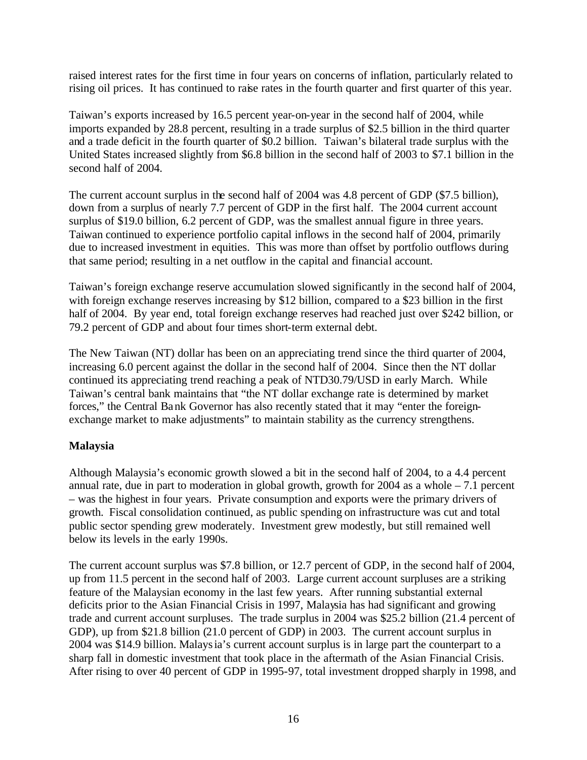raised interest rates for the first time in four years on concerns of inflation, particularly related to rising oil prices. It has continued to raise rates in the fourth quarter and first quarter of this year.

Taiwan's exports increased by 16.5 percent year-on-year in the second half of 2004, while imports expanded by 28.8 percent, resulting in a trade surplus of \$2.5 billion in the third quarter and a trade deficit in the fourth quarter of \$0.2 billion. Taiwan's bilateral trade surplus with the United States increased slightly from \$6.8 billion in the second half of 2003 to \$7.1 billion in the second half of 2004.

The current account surplus in the second half of 2004 was 4.8 percent of GDP (\$7.5 billion), down from a surplus of nearly 7.7 percent of GDP in the first half. The 2004 current account surplus of \$19.0 billion, 6.2 percent of GDP, was the smallest annual figure in three years. Taiwan continued to experience portfolio capital inflows in the second half of 2004, primarily due to increased investment in equities. This was more than offset by portfolio outflows during that same period; resulting in a net outflow in the capital and financial account.

Taiwan's foreign exchange reserve accumulation slowed significantly in the second half of 2004, with foreign exchange reserves increasing by \$12 billion, compared to a \$23 billion in the first half of 2004. By year end, total foreign exchange reserves had reached just over \$242 billion, or 79.2 percent of GDP and about four times short-term external debt.

The New Taiwan (NT) dollar has been on an appreciating trend since the third quarter of 2004, increasing 6.0 percent against the dollar in the second half of 2004. Since then the NT dollar continued its appreciating trend reaching a peak of NTD30.79/USD in early March. While Taiwan's central bank maintains that "the NT dollar exchange rate is determined by market forces," the Central Bank Governor has also recently stated that it may "enter the foreignexchange market to make adjustments" to maintain stability as the currency strengthens.

# **Malaysia**

Although Malaysia's economic growth slowed a bit in the second half of 2004, to a 4.4 percent annual rate, due in part to moderation in global growth, growth for 2004 as a whole – 7.1 percent – was the highest in four years. Private consumption and exports were the primary drivers of growth. Fiscal consolidation continued, as public spending on infrastructure was cut and total public sector spending grew moderately. Investment grew modestly, but still remained well below its levels in the early 1990s.

The current account surplus was \$7.8 billion, or 12.7 percent of GDP, in the second half of 2004, up from 11.5 percent in the second half of 2003. Large current account surpluses are a striking feature of the Malaysian economy in the last few years. After running substantial external deficits prior to the Asian Financial Crisis in 1997, Malaysia has had significant and growing trade and current account surpluses. The trade surplus in 2004 was \$25.2 billion (21.4 percent of GDP), up from \$21.8 billion (21.0 percent of GDP) in 2003. The current account surplus in 2004 was \$14.9 billion. Malaysia's current account surplus is in large part the counterpart to a sharp fall in domestic investment that took place in the aftermath of the Asian Financial Crisis. After rising to over 40 percent of GDP in 1995-97, total investment dropped sharply in 1998, and